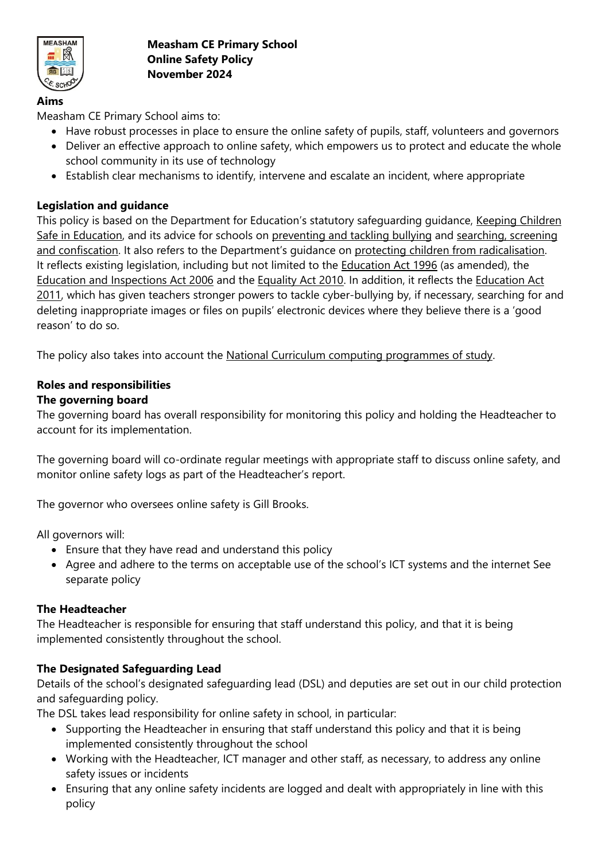

# **Aims**

Measham CE Primary School aims to:

- Have robust processes in place to ensure the online safety of pupils, staff, volunteers and governors
- Deliver an effective approach to online safety, which empowers us to protect and educate the whole school community in its use of technology
- Establish clear mechanisms to identify, intervene and escalate an incident, where appropriate

## **Legislation and guidance**

This policy is based on the Department for Education's statutory safeguarding guidance, [Keeping Children](https://www.gov.uk/government/publications/keeping-children-safe-in-education--2)  [Safe in Education,](https://www.gov.uk/government/publications/keeping-children-safe-in-education--2) and its advice for schools on [preventing and tackling bullying](https://www.gov.uk/government/publications/preventing-and-tackling-bullying) and [searching, screening](https://www.gov.uk/government/publications/searching-screening-and-confiscation)  [and confiscation](https://www.gov.uk/government/publications/searching-screening-and-confiscation). It also refers to the Department's guidance on [protecting children from radicalisation.](https://www.gov.uk/government/publications/protecting-children-from-radicalisation-the-prevent-duty) It reflects existing legislation, including but not limited to the [Education Act 1996](https://www.legislation.gov.uk/ukpga/1996/56/contents) (as amended), the [Education and Inspections Act 2006](https://www.legislation.gov.uk/ukpga/2006/40/contents) and the [Equality Act 2010.](https://www.legislation.gov.uk/ukpga/2010/15/contents) In addition, it reflects the [Education Act](http://www.legislation.gov.uk/ukpga/2011/21/contents/enacted)  [2011,](http://www.legislation.gov.uk/ukpga/2011/21/contents/enacted) which has given teachers stronger powers to tackle cyber-bullying by, if necessary, searching for and deleting inappropriate images or files on pupils' electronic devices where they believe there is a 'good reason' to do so.

The policy also takes into account the [National Curriculum computing programmes of study.](https://www.gov.uk/government/publications/national-curriculum-in-england-computing-programmes-of-study)

## **Roles and responsibilities**

## **The governing board**

The governing board has overall responsibility for monitoring this policy and holding the Headteacher to account for its implementation.

The governing board will co-ordinate regular meetings with appropriate staff to discuss online safety, and monitor online safety logs as part of the Headteacher's report.

The governor who oversees online safety is Gill Brooks.

All governors will:

- Ensure that they have read and understand this policy
- Agree and adhere to the terms on acceptable use of the school's ICT systems and the internet See separate policy

## **The Headteacher**

The Headteacher is responsible for ensuring that staff understand this policy, and that it is being implemented consistently throughout the school.

## **The Designated Safeguarding Lead**

Details of the school's designated safeguarding lead (DSL) and deputies are set out in our child protection and safeguarding policy.

The DSL takes lead responsibility for online safety in school, in particular:

- Supporting the Headteacher in ensuring that staff understand this policy and that it is being implemented consistently throughout the school
- Working with the Headteacher, ICT manager and other staff, as necessary, to address any online safety issues or incidents
- Ensuring that any online safety incidents are logged and dealt with appropriately in line with this policy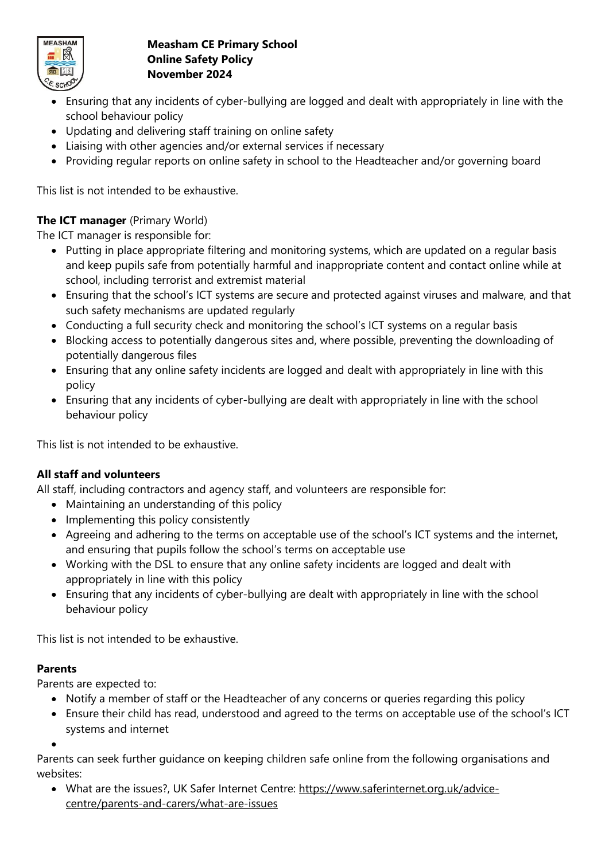

- Ensuring that any incidents of cyber-bullying are logged and dealt with appropriately in line with the school behaviour policy
- Updating and delivering staff training on online safety
- Liaising with other agencies and/or external services if necessary
- Providing regular reports on online safety in school to the Headteacher and/or governing board

This list is not intended to be exhaustive.

# **The ICT manager** (Primary World)

The ICT manager is responsible for:

- Putting in place appropriate filtering and monitoring systems, which are updated on a regular basis and keep pupils safe from potentially harmful and inappropriate content and contact online while at school, including terrorist and extremist material
- Ensuring that the school's ICT systems are secure and protected against viruses and malware, and that such safety mechanisms are updated regularly
- Conducting a full security check and monitoring the school's ICT systems on a regular basis
- Blocking access to potentially dangerous sites and, where possible, preventing the downloading of potentially dangerous files
- Ensuring that any online safety incidents are logged and dealt with appropriately in line with this policy
- Ensuring that any incidents of cyber-bullying are dealt with appropriately in line with the school behaviour policy

This list is not intended to be exhaustive.

# **All staff and volunteers**

All staff, including contractors and agency staff, and volunteers are responsible for:

- Maintaining an understanding of this policy
- Implementing this policy consistently
- Agreeing and adhering to the terms on acceptable use of the school's ICT systems and the internet, and ensuring that pupils follow the school's terms on acceptable use
- Working with the DSL to ensure that any online safety incidents are logged and dealt with appropriately in line with this policy
- Ensuring that any incidents of cyber-bullying are dealt with appropriately in line with the school behaviour policy

This list is not intended to be exhaustive.

## **Parents**

Parents are expected to:

- Notify a member of staff or the Headteacher of any concerns or queries regarding this policy
- Ensure their child has read, understood and agreed to the terms on acceptable use of the school's ICT systems and internet

•

Parents can seek further guidance on keeping children safe online from the following organisations and websites:

• What are the issues?, UK Safer Internet Centre: [https://www.saferinternet.org.uk/advice](https://www.saferinternet.org.uk/advice-centre/parents-and-carers/what-are-issues)[centre/parents-and-carers/what-are-issues](https://www.saferinternet.org.uk/advice-centre/parents-and-carers/what-are-issues)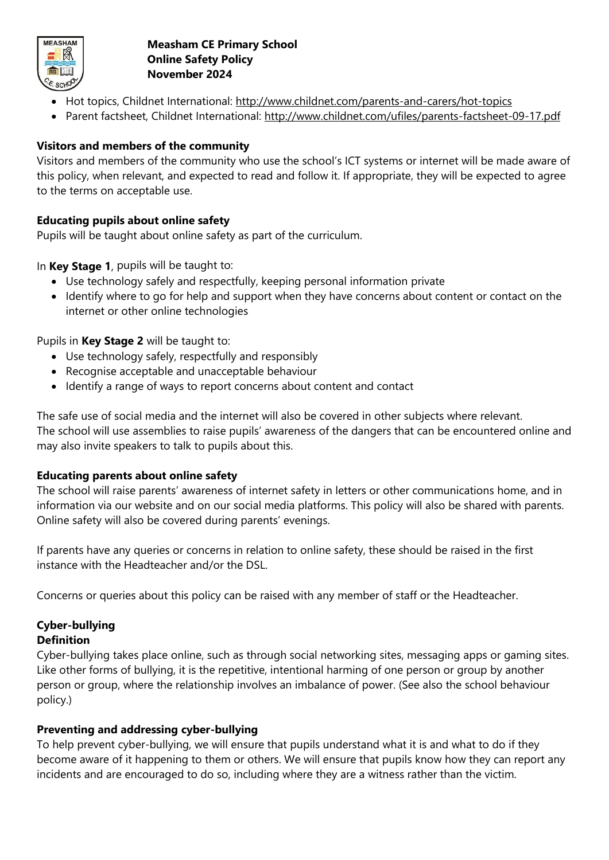

- Hot topics, Childnet International:<http://www.childnet.com/parents-and-carers/hot-topics>
- Parent factsheet, Childnet International:<http://www.childnet.com/ufiles/parents-factsheet-09-17.pdf>

# **Visitors and members of the community**

Visitors and members of the community who use the school's ICT systems or internet will be made aware of this policy, when relevant, and expected to read and follow it. If appropriate, they will be expected to agree to the terms on acceptable use.

## **Educating pupils about online safety**

Pupils will be taught about online safety as part of the curriculum.

In **Key Stage 1**, pupils will be taught to:

- Use technology safely and respectfully, keeping personal information private
- Identify where to go for help and support when they have concerns about content or contact on the internet or other online technologies

Pupils in **Key Stage 2** will be taught to:

- Use technology safely, respectfully and responsibly
- Recognise acceptable and unacceptable behaviour
- Identify a range of ways to report concerns about content and contact

The safe use of social media and the internet will also be covered in other subjects where relevant. The school will use assemblies to raise pupils' awareness of the dangers that can be encountered online and may also invite speakers to talk to pupils about this.

## **Educating parents about online safety**

The school will raise parents' awareness of internet safety in letters or other communications home, and in information via our website and on our social media platforms. This policy will also be shared with parents. Online safety will also be covered during parents' evenings.

If parents have any queries or concerns in relation to online safety, these should be raised in the first instance with the Headteacher and/or the DSL.

Concerns or queries about this policy can be raised with any member of staff or the Headteacher.

#### **Cyber-bullying Definition**

Cyber-bullying takes place online, such as through social networking sites, messaging apps or gaming sites. Like other forms of bullying, it is the repetitive, intentional harming of one person or group by another person or group, where the relationship involves an imbalance of power. (See also the school behaviour policy.)

## **Preventing and addressing cyber-bullying**

To help prevent cyber-bullying, we will ensure that pupils understand what it is and what to do if they become aware of it happening to them or others. We will ensure that pupils know how they can report any incidents and are encouraged to do so, including where they are a witness rather than the victim.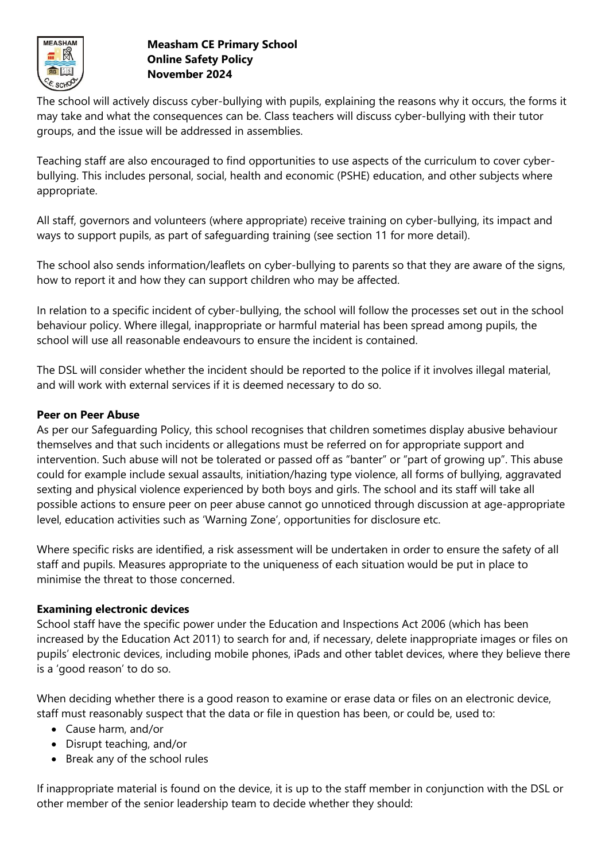

The school will actively discuss cyber-bullying with pupils, explaining the reasons why it occurs, the forms it may take and what the consequences can be. Class teachers will discuss cyber-bullying with their tutor groups, and the issue will be addressed in assemblies.

Teaching staff are also encouraged to find opportunities to use aspects of the curriculum to cover cyberbullying. This includes personal, social, health and economic (PSHE) education, and other subjects where appropriate.

All staff, governors and volunteers (where appropriate) receive training on cyber-bullying, its impact and ways to support pupils, as part of safeguarding training (see section 11 for more detail).

The school also sends information/leaflets on cyber-bullying to parents so that they are aware of the signs, how to report it and how they can support children who may be affected.

In relation to a specific incident of cyber-bullying, the school will follow the processes set out in the school behaviour policy. Where illegal, inappropriate or harmful material has been spread among pupils, the school will use all reasonable endeavours to ensure the incident is contained.

The DSL will consider whether the incident should be reported to the police if it involves illegal material, and will work with external services if it is deemed necessary to do so.

## **Peer on Peer Abuse**

As per our Safeguarding Policy, this school recognises that children sometimes display abusive behaviour themselves and that such incidents or allegations must be referred on for appropriate support and intervention. Such abuse will not be tolerated or passed off as "banter" or "part of growing up". This abuse could for example include sexual assaults, initiation/hazing type violence, all forms of bullying, aggravated sexting and physical violence experienced by both boys and girls. The school and its staff will take all possible actions to ensure peer on peer abuse cannot go unnoticed through discussion at age-appropriate level, education activities such as 'Warning Zone', opportunities for disclosure etc.

Where specific risks are identified, a risk assessment will be undertaken in order to ensure the safety of all staff and pupils. Measures appropriate to the uniqueness of each situation would be put in place to minimise the threat to those concerned.

## **Examining electronic devices**

School staff have the specific power under the Education and Inspections Act 2006 (which has been increased by the Education Act 2011) to search for and, if necessary, delete inappropriate images or files on pupils' electronic devices, including mobile phones, iPads and other tablet devices, where they believe there is a 'good reason' to do so.

When deciding whether there is a good reason to examine or erase data or files on an electronic device, staff must reasonably suspect that the data or file in question has been, or could be, used to:

- Cause harm, and/or
- Disrupt teaching, and/or
- Break any of the school rules

If inappropriate material is found on the device, it is up to the staff member in conjunction with the DSL or other member of the senior leadership team to decide whether they should: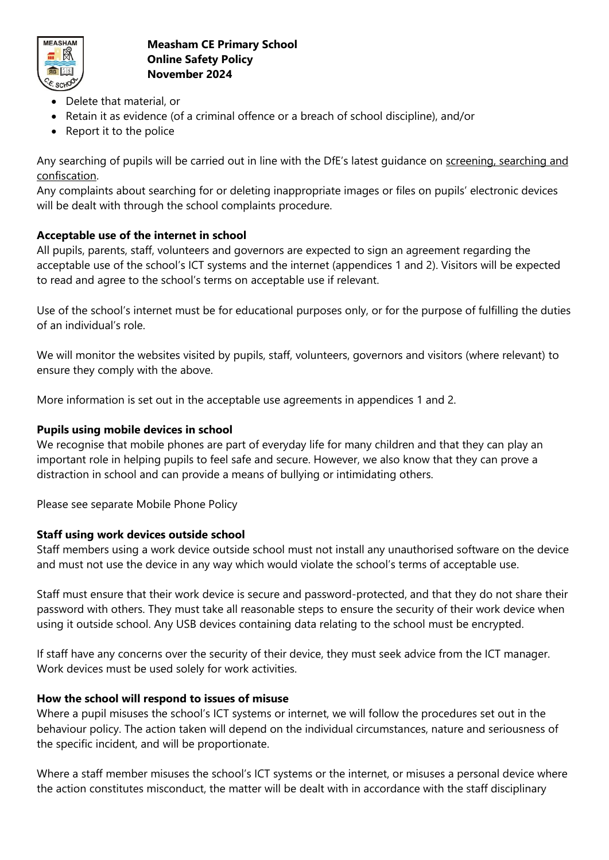

- Delete that material, or
- Retain it as evidence (of a criminal offence or a breach of school discipline), and/or
- Report it to the police

Any searching of pupils will be carried out in line with the DfE's latest guidance on [screening, searching and](https://www.gov.uk/government/publications/searching-screening-and-confiscation)  [confiscation.](https://www.gov.uk/government/publications/searching-screening-and-confiscation)

Any complaints about searching for or deleting inappropriate images or files on pupils' electronic devices will be dealt with through the school complaints procedure.

# **Acceptable use of the internet in school**

All pupils, parents, staff, volunteers and governors are expected to sign an agreement regarding the acceptable use of the school's ICT systems and the internet (appendices 1 and 2). Visitors will be expected to read and agree to the school's terms on acceptable use if relevant.

Use of the school's internet must be for educational purposes only, or for the purpose of fulfilling the duties of an individual's role.

We will monitor the websites visited by pupils, staff, volunteers, governors and visitors (where relevant) to ensure they comply with the above.

More information is set out in the acceptable use agreements in appendices 1 and 2.

## **Pupils using mobile devices in school**

We recognise that mobile phones are part of everyday life for many children and that they can play an important role in helping pupils to feel safe and secure. However, we also know that they can prove a distraction in school and can provide a means of bullying or intimidating others.

Please see separate Mobile Phone Policy

## **Staff using work devices outside school**

Staff members using a work device outside school must not install any unauthorised software on the device and must not use the device in any way which would violate the school's terms of acceptable use.

Staff must ensure that their work device is secure and password-protected, and that they do not share their password with others. They must take all reasonable steps to ensure the security of their work device when using it outside school. Any USB devices containing data relating to the school must be encrypted.

If staff have any concerns over the security of their device, they must seek advice from the ICT manager. Work devices must be used solely for work activities.

## **How the school will respond to issues of misuse**

Where a pupil misuses the school's ICT systems or internet, we will follow the procedures set out in the behaviour policy. The action taken will depend on the individual circumstances, nature and seriousness of the specific incident, and will be proportionate.

Where a staff member misuses the school's ICT systems or the internet, or misuses a personal device where the action constitutes misconduct, the matter will be dealt with in accordance with the staff disciplinary